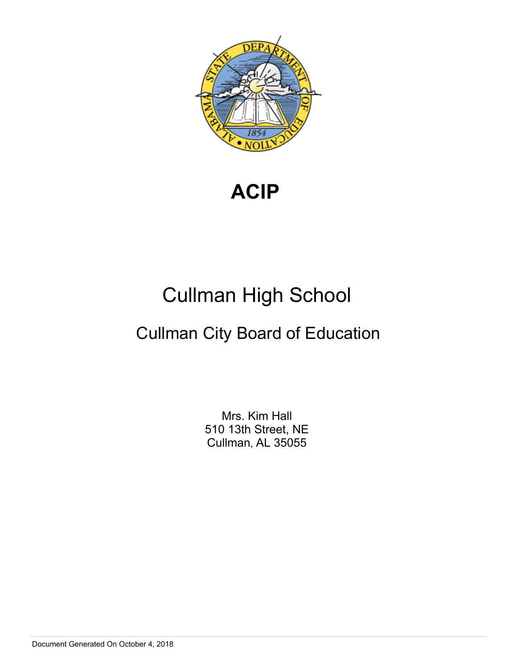

**ACIP** 

# Cullman High School

# Cullman City Board of Education

Mrs. Kim Hall 510 13th Street, NE Cullman, AL 35055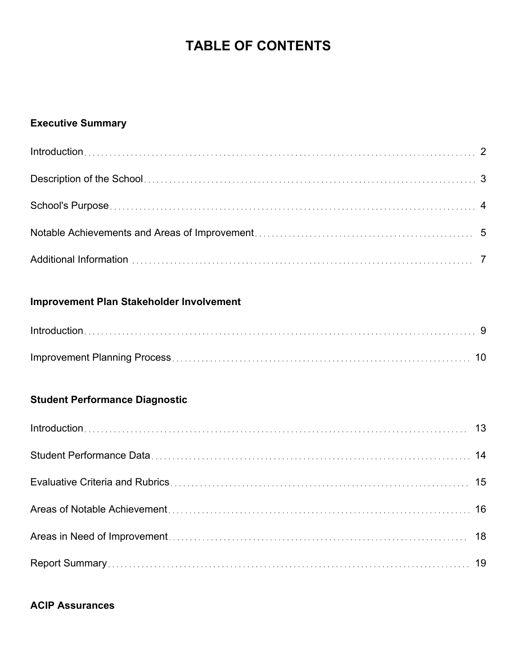## **TABLE OF CONTENTS**

## **Executive Summary**

## **Improvement Plan Stakeholder Involvement**

## **Student Performance Diagnostic**

## **ACIP Assurances**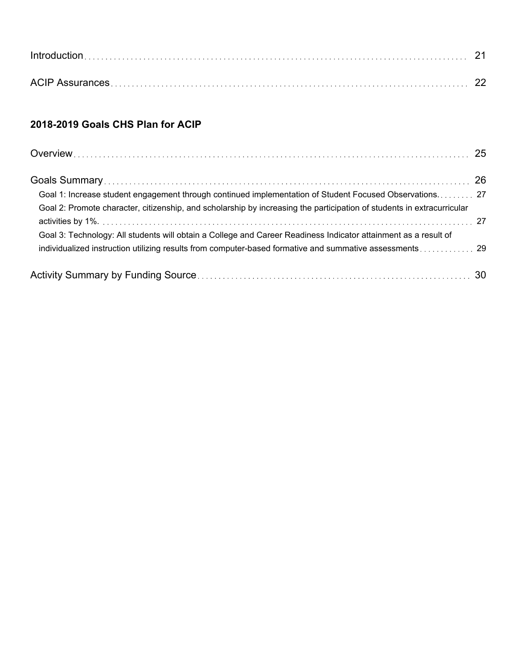## **2018-2019 Goals CHS Plan for ACIP**

| Goal 1: Increase student engagement through continued implementation of Student Focused Observations 27                |  |
|------------------------------------------------------------------------------------------------------------------------|--|
| Goal 2: Promote character, citizenship, and scholarship by increasing the participation of students in extracurricular |  |
|                                                                                                                        |  |
| Goal 3: Technology: All students will obtain a College and Career Readiness Indicator attainment as a result of        |  |
|                                                                                                                        |  |
|                                                                                                                        |  |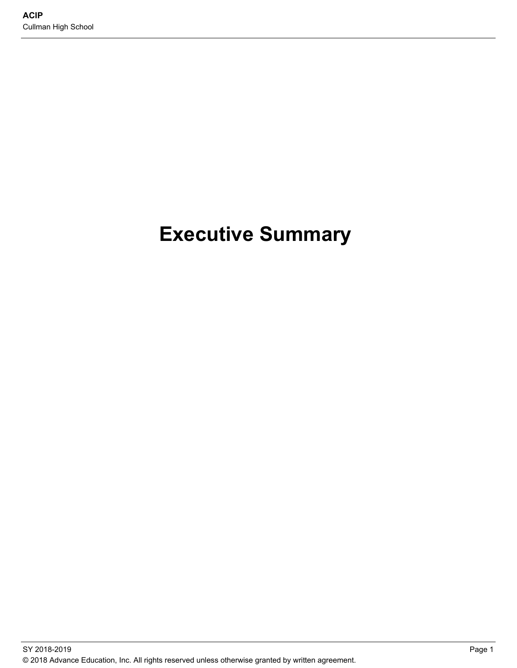# **Executive Summary**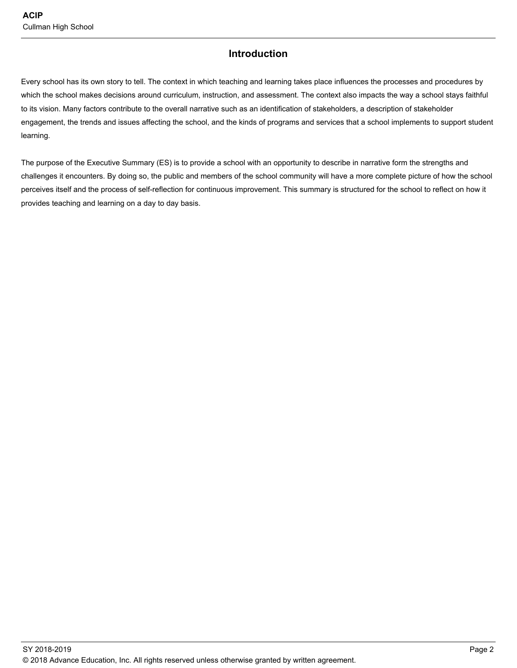### **Introduction**

Every school has its own story to tell. The context in which teaching and learning takes place influences the processes and procedures by which the school makes decisions around curriculum, instruction, and assessment. The context also impacts the way a school stays faithful to its vision. Many factors contribute to the overall narrative such as an identification of stakeholders, a description of stakeholder engagement, the trends and issues affecting the school, and the kinds of programs and services that a school implements to support student learning.

The purpose of the Executive Summary (ES) is to provide a school with an opportunity to describe in narrative form the strengths and challenges it encounters. By doing so, the public and members of the school community will have a more complete picture of how the school perceives itself and the process of self-reflection for continuous improvement. This summary is structured for the school to reflect on how it provides teaching and learning on a day to day basis.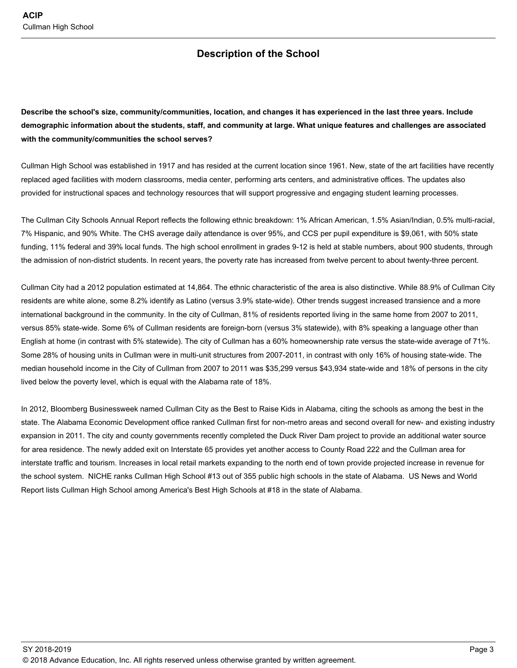## **Description of the School**

**Describe the school's size, community/communities, location, and changes it has experienced in the last three years. Include demographic information about the students, staff, and community at large. What unique features and challenges are associated with the community/communities the school serves?** 

Cullman High School was established in 1917 and has resided at the current location since 1961. New, state of the art facilities have recently replaced aged facilities with modern classrooms, media center, performing arts centers, and administrative offices. The updates also provided for instructional spaces and technology resources that will support progressive and engaging student learning processes.

The Cullman City Schools Annual Report reflects the following ethnic breakdown: 1% African American, 1.5% Asian/Indian, 0.5% multi-racial, 7% Hispanic, and 90% White. The CHS average daily attendance is over 95%, and CCS per pupil expenditure is \$9,061, with 50% state funding, 11% federal and 39% local funds. The high school enrollment in grades 9-12 is held at stable numbers, about 900 students, through the admission of non-district students. In recent years, the poverty rate has increased from twelve percent to about twenty-three percent.

Cullman City had a 2012 population estimated at 14,864. The ethnic characteristic of the area is also distinctive. While 88.9% of Cullman City residents are white alone, some 8.2% identify as Latino (versus 3.9% state-wide). Other trends suggest increased transience and a more international background in the community. In the city of Cullman, 81% of residents reported living in the same home from 2007 to 2011, versus 85% state-wide. Some 6% of Cullman residents are foreign-born (versus 3% statewide), with 8% speaking a language other than English at home (in contrast with 5% statewide). The city of Cullman has a 60% homeownership rate versus the state-wide average of 71%. Some 28% of housing units in Cullman were in multi-unit structures from 2007-2011, in contrast with only 16% of housing state-wide. The median household income in the City of Cullman from 2007 to 2011 was \$35,299 versus \$43,934 state-wide and 18% of persons in the city lived below the poverty level, which is equal with the Alabama rate of 18%.

In 2012, Bloomberg Businessweek named Cullman City as the Best to Raise Kids in Alabama, citing the schools as among the best in the state. The Alabama Economic Development office ranked Cullman first for non-metro areas and second overall for new- and existing industry expansion in 2011. The city and county governments recently completed the Duck River Dam project to provide an additional water source for area residence. The newly added exit on Interstate 65 provides yet another access to County Road 222 and the Cullman area for interstate traffic and tourism. Increases in local retail markets expanding to the north end of town provide projected increase in revenue for the school system. NICHE ranks Cullman High School #13 out of 355 public high schools in the state of Alabama. US News and World Report lists Cullman High School among America's Best High Schools at #18 in the state of Alabama.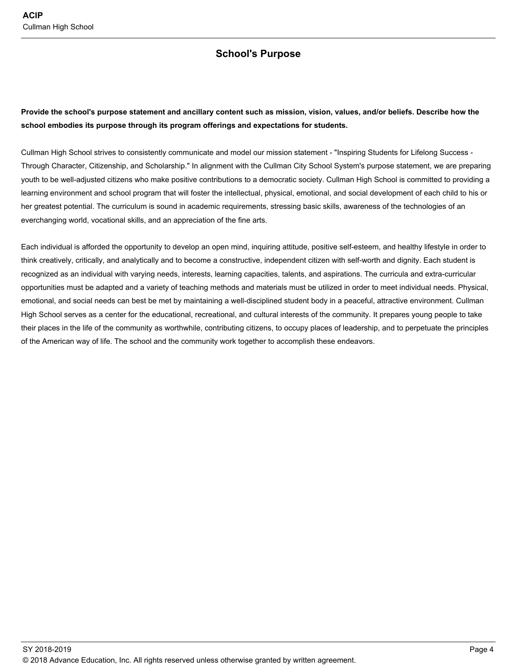### **School's Purpose**

**Provide the school's purpose statement and ancillary content such as mission, vision, values, and/or beliefs. Describe how the school embodies its purpose through its program offerings and expectations for students.** 

Cullman High School strives to consistently communicate and model our mission statement - "Inspiring Students for Lifelong Success - Through Character, Citizenship, and Scholarship." In alignment with the Cullman City School System's purpose statement, we are preparing youth to be well-adjusted citizens who make positive contributions to a democratic society. Cullman High School is committed to providing a learning environment and school program that will foster the intellectual, physical, emotional, and social development of each child to his or her greatest potential. The curriculum is sound in academic requirements, stressing basic skills, awareness of the technologies of an everchanging world, vocational skills, and an appreciation of the fine arts.

Each individual is afforded the opportunity to develop an open mind, inquiring attitude, positive self-esteem, and healthy lifestyle in order to think creatively, critically, and analytically and to become a constructive, independent citizen with self-worth and dignity. Each student is recognized as an individual with varying needs, interests, learning capacities, talents, and aspirations. The curricula and extra-curricular opportunities must be adapted and a variety of teaching methods and materials must be utilized in order to meet individual needs. Physical, emotional, and social needs can best be met by maintaining a well-disciplined student body in a peaceful, attractive environment. Cullman High School serves as a center for the educational, recreational, and cultural interests of the community. It prepares young people to take their places in the life of the community as worthwhile, contributing citizens, to occupy places of leadership, and to perpetuate the principles of the American way of life. The school and the community work together to accomplish these endeavors.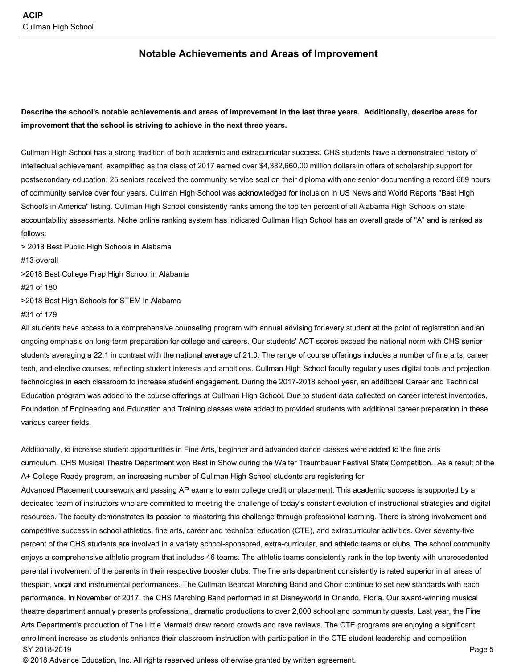#### **Notable Achievements and Areas of Improvement**

### **Describe the school's notable achievements and areas of improvement in the last three years. Additionally, describe areas for improvement that the school is striving to achieve in the next three years.**

Cullman High School has a strong tradition of both academic and extracurricular success. CHS students have a demonstrated history of intellectual achievement, exemplified as the class of 2017 earned over \$4,382,660.00 million dollars in offers of scholarship support for postsecondary education. 25 seniors received the community service seal on their diploma with one senior documenting a record 669 hours of community service over four years. Cullman High School was acknowledged for inclusion in US News and World Reports "Best High Schools in America" listing. Cullman High School consistently ranks among the top ten percent of all Alabama High Schools on state accountability assessments. Niche online ranking system has indicated Cullman High School has an overall grade of "A" and is ranked as follows:

> 2018 Best Public High Schools in Alabama #13 overall >2018 Best College Prep High School in Alabama #21 of 180 >2018 Best High Schools for STEM in Alabama

#31 of 179

All students have access to a comprehensive counseling program with annual advising for every student at the point of registration and an ongoing emphasis on long-term preparation for college and careers. Our students' ACT scores exceed the national norm with CHS senior students averaging a 22.1 in contrast with the national average of 21.0. The range of course offerings includes a number of fine arts, career tech, and elective courses, reflecting student interests and ambitions. Cullman High School faculty regularly uses digital tools and projection technologies in each classroom to increase student engagement. During the 2017-2018 school year, an additional Career and Technical Education program was added to the course offerings at Cullman High School. Due to student data collected on career interest inventories, Foundation of Engineering and Education and Training classes were added to provided students with additional career preparation in these various career fields.

Additionally, to increase student opportunities in Fine Arts, beginner and advanced dance classes were added to the fine arts curriculum. CHS Musical Theatre Department won Best in Show during the Walter Traumbauer Festival State Competition. As a result of the A+ College Ready program, an increasing number of Cullman High School students are registering for Advanced Placement coursework and passing AP exams to earn college credit or placement. This academic success is supported by a dedicated team of instructors who are committed to meeting the challenge of today's constant evolution of instructional strategies and digital resources. The faculty demonstrates its passion to mastering this challenge through professional learning. There is strong involvement and competitive success in school athletics, fine arts, career and technical education (CTE), and extracurricular activities. Over seventy-five percent of the CHS students are involved in a variety school-sponsored, extra-curricular, and athletic teams or clubs. The school community enjoys a comprehensive athletic program that includes 46 teams. The athletic teams consistently rank in the top twenty with unprecedented parental involvement of the parents in their respective booster clubs. The fine arts department consistently is rated superior in all areas of thespian, vocal and instrumental performances. The Cullman Bearcat Marching Band and Choir continue to set new standards with each performance. In November of 2017, the CHS Marching Band performed in at Disneyworld in Orlando, Floria. Our award-winning musical theatre department annually presents professional, dramatic productions to over 2,000 school and community guests. Last year, the Fine Arts Department's production of The Little Mermaid drew record crowds and rave reviews. The CTE programs are enjoying a significant enrollment increase as students enhance their classroom instruction with participation in the CTE student leadership and competition SY 2018-2019 Page 5

© 2018 Advance Education, Inc. All rights reserved unless otherwise granted by written agreement.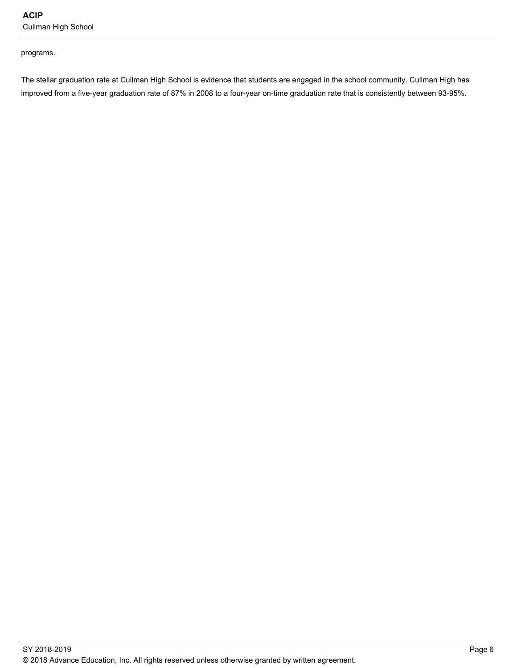**ACIP**  Cullman High School

programs.

The stellar graduation rate at Cullman High School is evidence that students are engaged in the school community. Cullman High has improved from a five-year graduation rate of 87% in 2008 to a four-year on-time graduation rate that is consistently between 93-95%.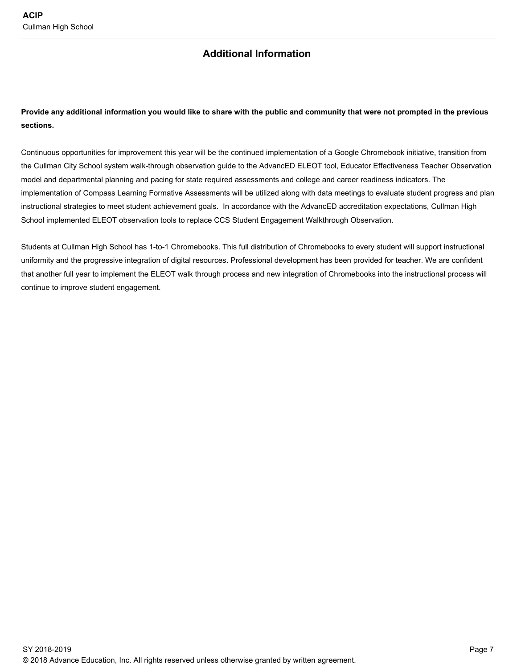## **Additional Information**

**Provide any additional information you would like to share with the public and community that were not prompted in the previous sections.** 

Continuous opportunities for improvement this year will be the continued implementation of a Google Chromebook initiative, transition from the Cullman City School system walk-through observation guide to the AdvancED ELEOT tool, Educator Effectiveness Teacher Observation model and departmental planning and pacing for state required assessments and college and career readiness indicators. The implementation of Compass Learning Formative Assessments will be utilized along with data meetings to evaluate student progress and plan instructional strategies to meet student achievement goals. In accordance with the AdvancED accreditation expectations, Cullman High School implemented ELEOT observation tools to replace CCS Student Engagement Walkthrough Observation.

Students at Cullman High School has 1-to-1 Chromebooks. This full distribution of Chromebooks to every student will support instructional uniformity and the progressive integration of digital resources. Professional development has been provided for teacher. We are confident that another full year to implement the ELEOT walk through process and new integration of Chromebooks into the instructional process will continue to improve student engagement.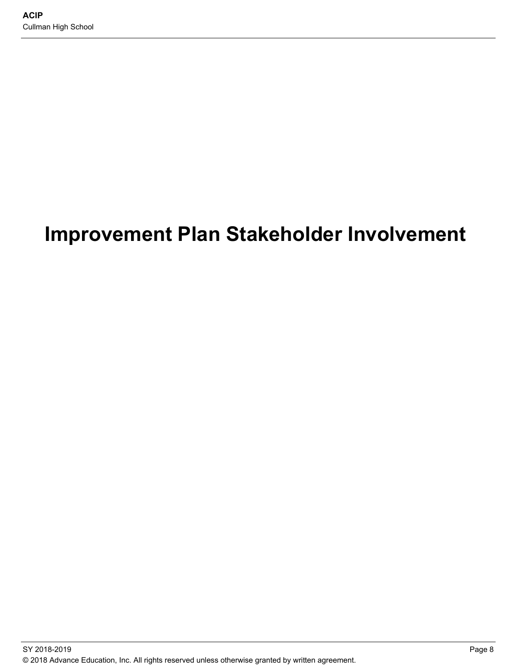# **Improvement Plan Stakeholder Involvement**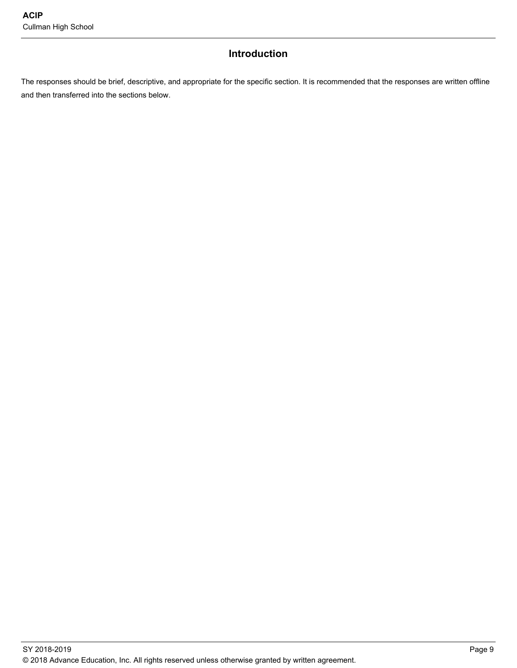## **Introduction**

The responses should be brief, descriptive, and appropriate for the specific section. It is recommended that the responses are written offline and then transferred into the sections below.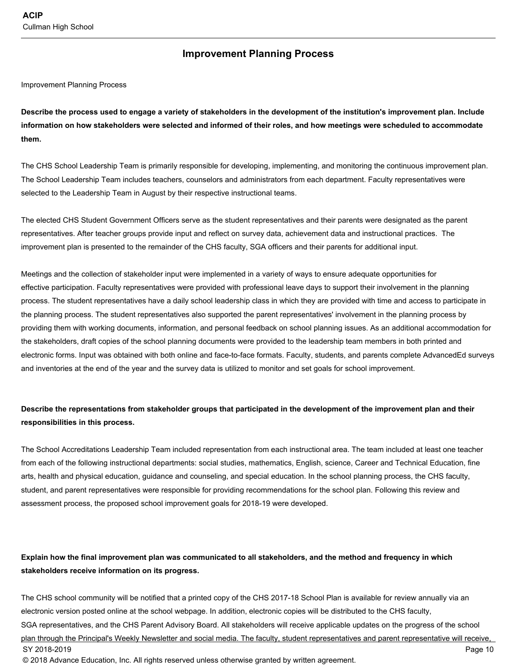#### **Improvement Planning Process**

Improvement Planning Process

**Describe the process used to engage a variety of stakeholders in the development of the institution's improvement plan. Include information on how stakeholders were selected and informed of their roles, and how meetings were scheduled to accommodate them.** 

The CHS School Leadership Team is primarily responsible for developing, implementing, and monitoring the continuous improvement plan. The School Leadership Team includes teachers, counselors and administrators from each department. Faculty representatives were selected to the Leadership Team in August by their respective instructional teams.

The elected CHS Student Government Officers serve as the student representatives and their parents were designated as the parent representatives. After teacher groups provide input and reflect on survey data, achievement data and instructional practices. The improvement plan is presented to the remainder of the CHS faculty, SGA officers and their parents for additional input.

Meetings and the collection of stakeholder input were implemented in a variety of ways to ensure adequate opportunities for effective participation. Faculty representatives were provided with professional leave days to support their involvement in the planning process. The student representatives have a daily school leadership class in which they are provided with time and access to participate in the planning process. The student representatives also supported the parent representatives' involvement in the planning process by providing them with working documents, information, and personal feedback on school planning issues. As an additional accommodation for the stakeholders, draft copies of the school planning documents were provided to the leadership team members in both printed and electronic forms. Input was obtained with both online and face-to-face formats. Faculty, students, and parents complete AdvancedEd surveys and inventories at the end of the year and the survey data is utilized to monitor and set goals for school improvement.

#### **Describe the representations from stakeholder groups that participated in the development of the improvement plan and their responsibilities in this process.**

The School Accreditations Leadership Team included representation from each instructional area. The team included at least one teacher from each of the following instructional departments: social studies, mathematics, English, science, Career and Technical Education, fine arts, health and physical education, guidance and counseling, and special education. In the school planning process, the CHS faculty, student, and parent representatives were responsible for providing recommendations for the school plan. Following this review and assessment process, the proposed school improvement goals for 2018-19 were developed.

### **Explain how the final improvement plan was communicated to all stakeholders, and the method and frequency in which stakeholders receive information on its progress.**

The CHS school community will be notified that a printed copy of the CHS 2017-18 School Plan is available for review annually via an electronic version posted online at the school webpage. In addition, electronic copies will be distributed to the CHS faculty, SGA representatives, and the CHS Parent Advisory Board. All stakeholders will receive applicable updates on the progress of the school plan through the Principal's Weekly Newsletter and social media. The faculty, student representatives and parent representative will receive, SY 2018-2019 Page 10 © 2018 Advance Education, Inc. All rights reserved unless otherwise granted by written agreement.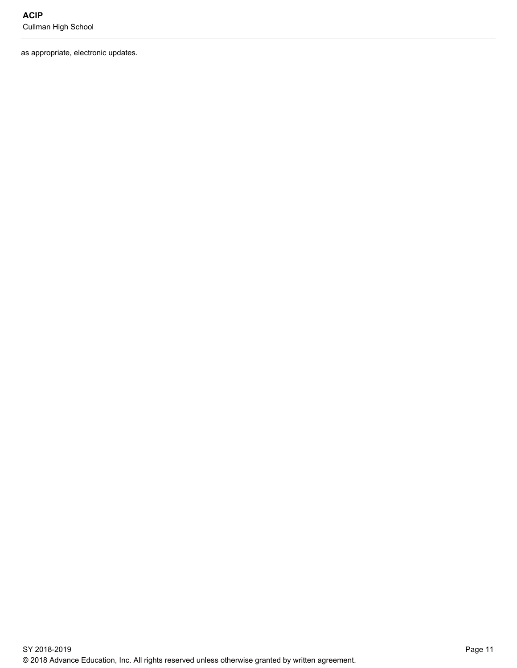as appropriate, electronic updates.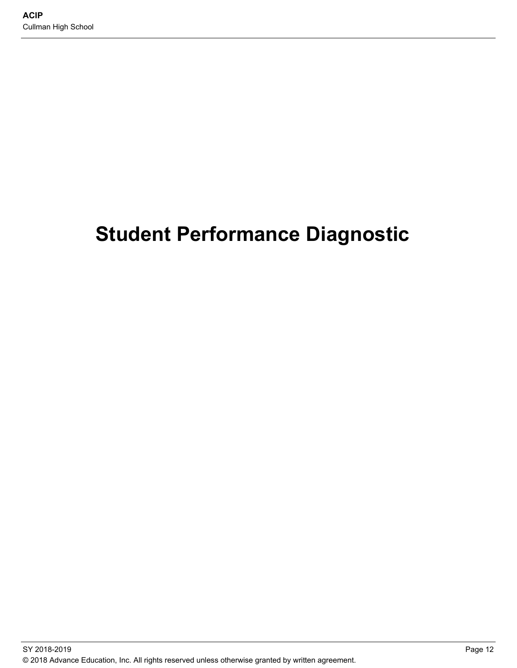# **Student Performance Diagnostic**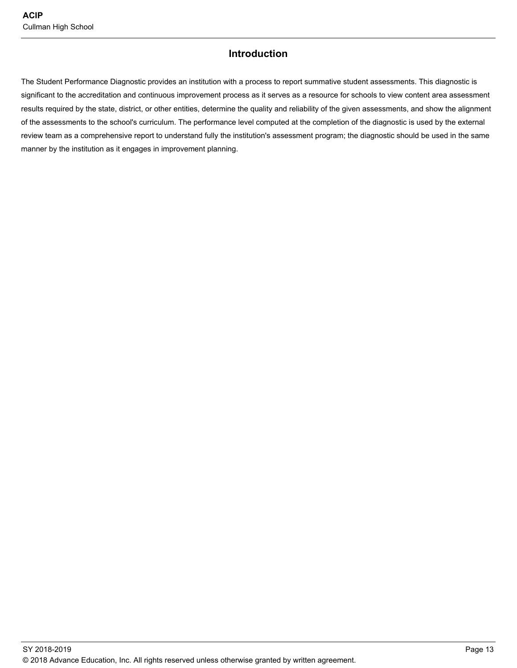### **Introduction**

The Student Performance Diagnostic provides an institution with a process to report summative student assessments. This diagnostic is significant to the accreditation and continuous improvement process as it serves as a resource for schools to view content area assessment results required by the state, district, or other entities, determine the quality and reliability of the given assessments, and show the alignment of the assessments to the school's curriculum. The performance level computed at the completion of the diagnostic is used by the external review team as a comprehensive report to understand fully the institution's assessment program; the diagnostic should be used in the same manner by the institution as it engages in improvement planning.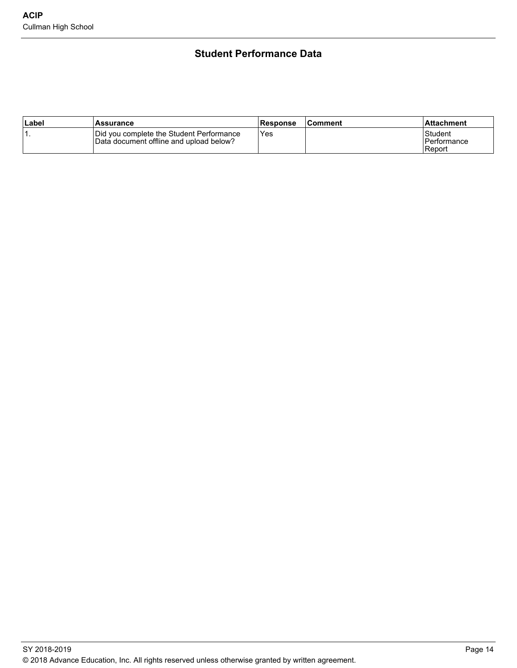## **Student Performance Data**

| ∣Label | <b>Assurance</b>                                                                    | Response | lComment | l Attachment                     |
|--------|-------------------------------------------------------------------------------------|----------|----------|----------------------------------|
| . .    | Did you complete the Student Performance<br>Data document offline and upload below? | Yes      |          | Student<br>Performance<br>Report |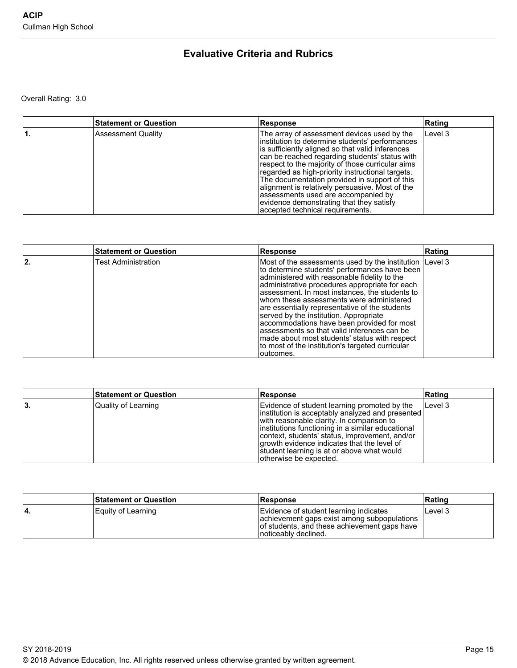## **Evaluative Criteria and Rubrics**

Overall Rating: 3.0

| <b>Statement or Question</b> | <b>Response</b>                                                                                                                                                                                                                                                                                                                                                                                                                                                                                                                         | Rating  |
|------------------------------|-----------------------------------------------------------------------------------------------------------------------------------------------------------------------------------------------------------------------------------------------------------------------------------------------------------------------------------------------------------------------------------------------------------------------------------------------------------------------------------------------------------------------------------------|---------|
| <b>Assessment Quality</b>    | The array of assessment devices used by the<br>institution to determine students' performances<br>is sufficiently aligned so that valid inferences<br>can be reached regarding students' status with<br>respect to the majority of those curricular aims<br>regarded as high-priority instructional targets.<br>The documentation provided in support of this<br>alignment is relatively persuasive. Most of the<br>assessments used are accompanied by<br>evidence demonstrating that they satisfy<br>accepted technical requirements. | Level 3 |

|      | <b>Statement or Question</b> | Response                                                                                                                                                                                                                                                                                                                                                                                                                                                                                                                                                                                                            | Rating |
|------|------------------------------|---------------------------------------------------------------------------------------------------------------------------------------------------------------------------------------------------------------------------------------------------------------------------------------------------------------------------------------------------------------------------------------------------------------------------------------------------------------------------------------------------------------------------------------------------------------------------------------------------------------------|--------|
| ا 2. | <b>Test Administration</b>   | Most of the assessments used by the institution Level 3<br>to determine students' performances have been<br>administered with reasonable fidelity to the<br>administrative procedures appropriate for each<br>assessment. In most instances, the students to<br>whom these assessments were administered<br>are essentially representative of the students<br>served by the institution. Appropriate<br>accommodations have been provided for most<br>assessments so that valid inferences can be<br>made about most students' status with respect<br>to most of the institution's targeted curricular<br>outcomes. |        |

|     | <b>Statement or Question</b> | Response                                                                                                                                                                                                                                                                                                                                                                      | Rating  |
|-----|------------------------------|-------------------------------------------------------------------------------------------------------------------------------------------------------------------------------------------------------------------------------------------------------------------------------------------------------------------------------------------------------------------------------|---------|
| ιЗ. | Quality of Learning          | Evidence of student learning promoted by the<br>linstitution is acceptably analyzed and presented<br>with reasonable clarity. In comparison to<br>linstitutions functioning in a similar educational<br>context, students' status, improvement, and/or<br>growth evidence indicates that the level of<br>student learning is at or above what would<br>otherwise be expected. | Level 3 |

|     | <b>Statement or Question</b> | <b>IResponse</b>                                                                                                                                               | ∣Ratinɑ |
|-----|------------------------------|----------------------------------------------------------------------------------------------------------------------------------------------------------------|---------|
| ۰4. | Equity of Learning           | Evidence of student learning indicates<br>achievement gaps exist among subpopulations<br>of students, and these achievement gaps have<br>Inoticeably declined. | Level 3 |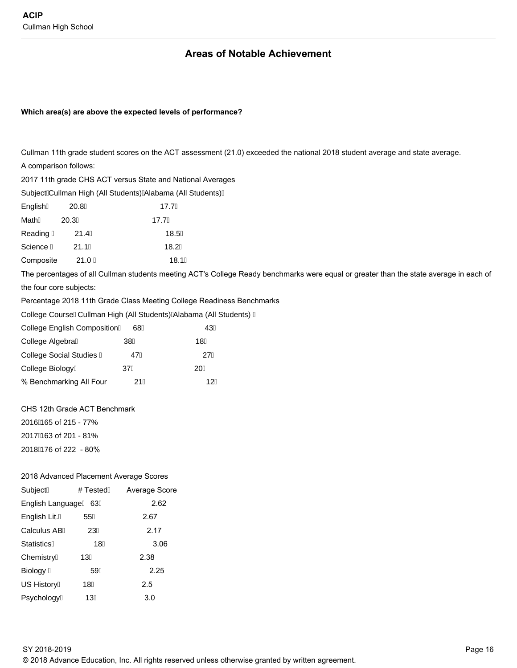Biology

US History

Psychology

59

 $18$ 

13

## **Areas of Notable Achievement**

#### Which area(s) are above the expected levels of performance?

|                   |                                        | Cullman 11th grade student scores on the ACT assessment (21.0) exceeded the national 2018 student average and state average.           |    |  |  |  |
|-------------------|----------------------------------------|----------------------------------------------------------------------------------------------------------------------------------------|----|--|--|--|
|                   | A comparison follows:                  |                                                                                                                                        |    |  |  |  |
|                   |                                        | 2017 11th grade CHS ACT versus State and National Averages                                                                             |    |  |  |  |
|                   |                                        | Subject Cullman High (All Students) Alabama (All Students)                                                                             |    |  |  |  |
| English           | 20.8                                   | 17.7                                                                                                                                   |    |  |  |  |
| Math              | 20.3                                   | 17.7                                                                                                                                   |    |  |  |  |
| Reading           | 21.4                                   | 18.5                                                                                                                                   |    |  |  |  |
| Science           | 21.1                                   | 18.2                                                                                                                                   |    |  |  |  |
| Composite         | 21.0                                   | 18.1                                                                                                                                   |    |  |  |  |
|                   |                                        | The percentages of all Cullman students meeting ACT's College Ready benchmarks were equal or greater than the state average in each of |    |  |  |  |
|                   | the four core subjects:                |                                                                                                                                        |    |  |  |  |
|                   |                                        | Percentage 2018 11th Grade Class Meeting College Readiness Benchmarks                                                                  |    |  |  |  |
|                   |                                        | College Course Cullman High (All Students) Alabama (All Students)                                                                      |    |  |  |  |
|                   | <b>College English Composition</b>     | 68                                                                                                                                     | 43 |  |  |  |
| College Algebra   |                                        | 38                                                                                                                                     | 18 |  |  |  |
|                   | <b>College Social Studies</b>          | 47                                                                                                                                     | 27 |  |  |  |
| College Biology   |                                        | 37                                                                                                                                     | 20 |  |  |  |
|                   | % Benchmarking All Four                | 21                                                                                                                                     | 12 |  |  |  |
|                   |                                        |                                                                                                                                        |    |  |  |  |
|                   | CHS 12th Grade ACT Benchmark           |                                                                                                                                        |    |  |  |  |
|                   | 2016 165 of 215 - 77%                  |                                                                                                                                        |    |  |  |  |
|                   | 2017 163 of 201 - 81%                  |                                                                                                                                        |    |  |  |  |
|                   | 2018 176 of 222 - 80%                  |                                                                                                                                        |    |  |  |  |
|                   |                                        |                                                                                                                                        |    |  |  |  |
|                   | 2018 Advanced Placement Average Scores |                                                                                                                                        |    |  |  |  |
| Subject           | # Tested                               | Average Score                                                                                                                          |    |  |  |  |
| English Language  | 63                                     | 2.62                                                                                                                                   |    |  |  |  |
| English Lit.      | 55                                     | 2.67                                                                                                                                   |    |  |  |  |
| Calculus AB       | 23                                     | 2.17                                                                                                                                   |    |  |  |  |
| <b>Statistics</b> | 18                                     | 3.06                                                                                                                                   |    |  |  |  |
| Chemistry         | 13                                     | 2.38                                                                                                                                   |    |  |  |  |

 $2.25$ 

 $2.5$ 

 $3.0$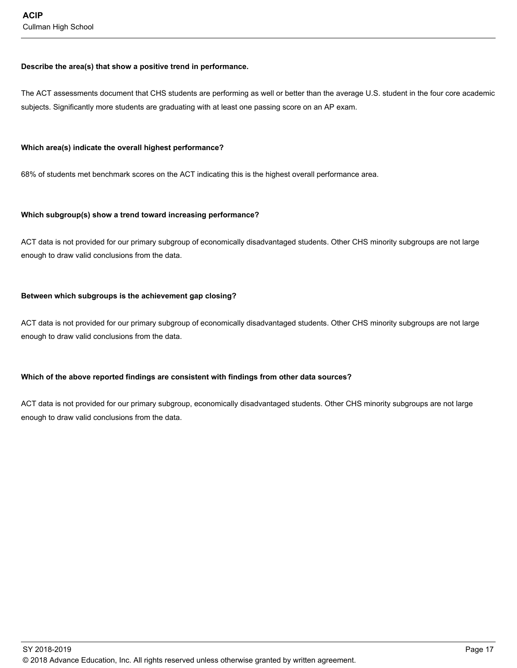#### **Describe the area(s) that show a positive trend in performance.**

The ACT assessments document that CHS students are performing as well or better than the average U.S. student in the four core academic subjects. Significantly more students are graduating with at least one passing score on an AP exam.

#### **Which area(s) indicate the overall highest performance?**

68% of students met benchmark scores on the ACT indicating this is the highest overall performance area.

#### **Which subgroup(s) show a trend toward increasing performance?**

ACT data is not provided for our primary subgroup of economically disadvantaged students. Other CHS minority subgroups are not large enough to draw valid conclusions from the data.

#### **Between which subgroups is the achievement gap closing?**

ACT data is not provided for our primary subgroup of economically disadvantaged students. Other CHS minority subgroups are not large enough to draw valid conclusions from the data.

#### **Which of the above reported findings are consistent with findings from other data sources?**

ACT data is not provided for our primary subgroup, economically disadvantaged students. Other CHS minority subgroups are not large enough to draw valid conclusions from the data.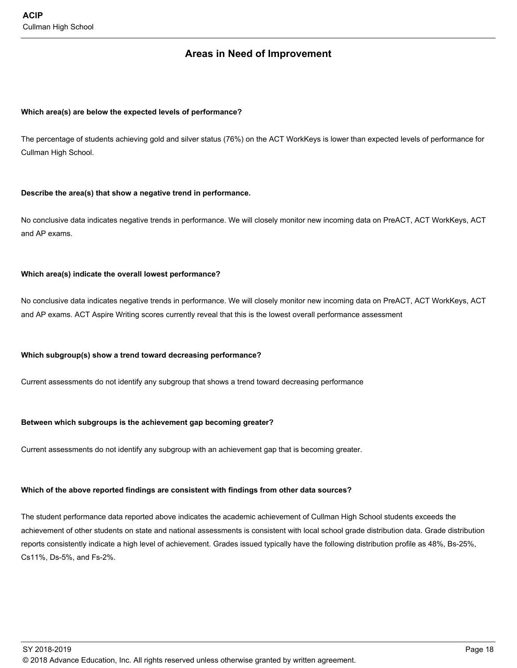### **Areas in Need of Improvement**

#### **Which area(s) are below the expected levels of performance?**

The percentage of students achieving gold and silver status (76%) on the ACT WorkKeys is lower than expected levels of performance for Cullman High School.

#### **Describe the area(s) that show a negative trend in performance.**

No conclusive data indicates negative trends in performance. We will closely monitor new incoming data on PreACT, ACT WorkKeys, ACT and AP exams.

#### **Which area(s) indicate the overall lowest performance?**

No conclusive data indicates negative trends in performance. We will closely monitor new incoming data on PreACT, ACT WorkKeys, ACT and AP exams. ACT Aspire Writing scores currently reveal that this is the lowest overall performance assessment

#### **Which subgroup(s) show a trend toward decreasing performance?**

Current assessments do not identify any subgroup that shows a trend toward decreasing performance

#### **Between which subgroups is the achievement gap becoming greater?**

Current assessments do not identify any subgroup with an achievement gap that is becoming greater.

#### **Which of the above reported findings are consistent with findings from other data sources?**

The student performance data reported above indicates the academic achievement of Cullman High School students exceeds the achievement of other students on state and national assessments is consistent with local school grade distribution data. Grade distribution reports consistently indicate a high level of achievement. Grades issued typically have the following distribution profile as 48%, Bs-25%, Cs11%, Ds-5%, and Fs-2%.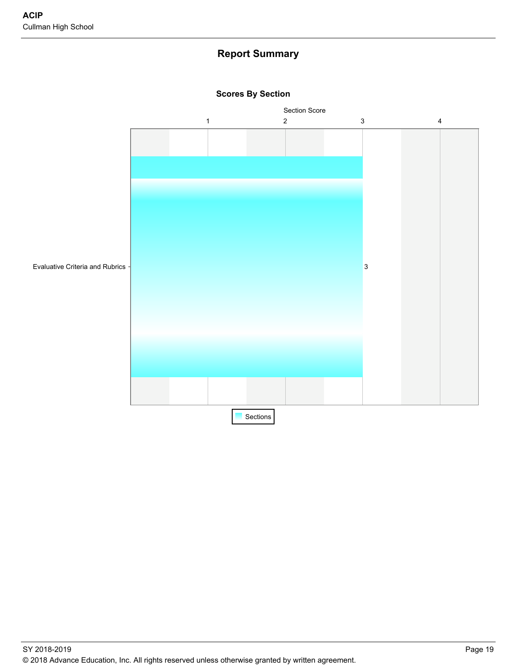## **Report Summary**



#### **Scores By Section**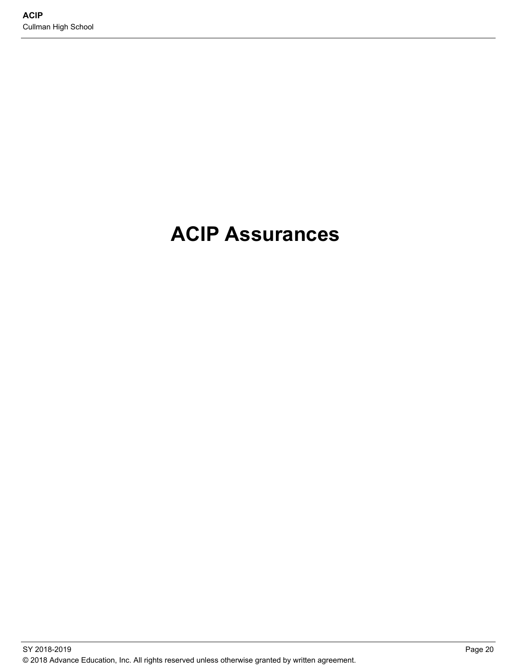# **ACIP Assurances**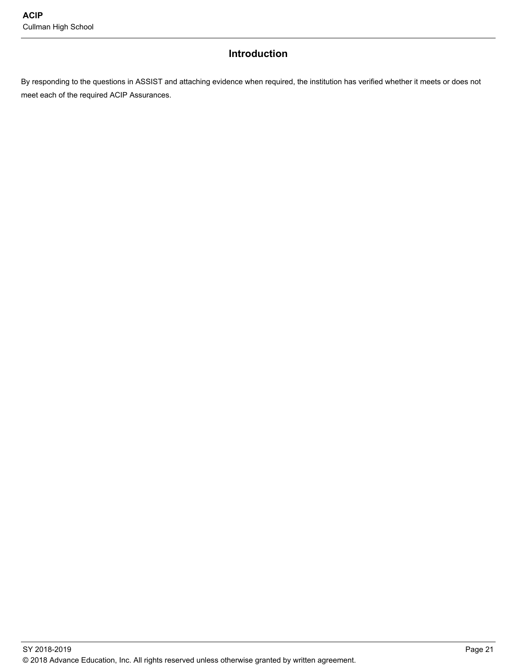## **Introduction**

By responding to the questions in ASSIST and attaching evidence when required, the institution has verified whether it meets or does not meet each of the required ACIP Assurances.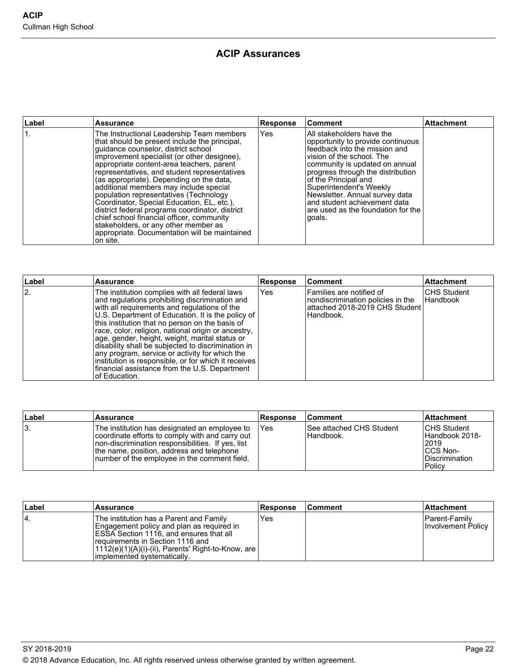## **ACIP Assurances**

| Label | <b>Assurance</b>                                                                                                                                                                                                                                                                                                                                                                                                                                                                                                                                                                                                                                                 | <b>Response</b> | Comment                                                                                                                                                                                                                                                                                                                                                                  | ∣Attachment |
|-------|------------------------------------------------------------------------------------------------------------------------------------------------------------------------------------------------------------------------------------------------------------------------------------------------------------------------------------------------------------------------------------------------------------------------------------------------------------------------------------------------------------------------------------------------------------------------------------------------------------------------------------------------------------------|-----------------|--------------------------------------------------------------------------------------------------------------------------------------------------------------------------------------------------------------------------------------------------------------------------------------------------------------------------------------------------------------------------|-------------|
|       | The Instructional Leadership Team members<br>that should be present include the principal,<br>quidance counselor, district school<br>improvement specialist (or other designee),<br>appropriate content-area teachers, parent<br>representatives, and student representatives<br>(as appropriate). Depending on the data,<br>additional members may include special<br>population representatives (Technology<br>Coordinator, Special Education, EL, etc.),<br>district federal programs coordinator, district<br>chief school financial officer, community<br>stakeholders, or any other member as<br>appropriate. Documentation will be maintained<br>on site. | <b>Yes</b>      | All stakeholders have the<br>opportunity to provide continuous<br>feedback into the mission and<br>vision of the school. The<br>community is updated on annual<br>progress through the distribution<br>of the Principal and<br>Superintendent's Weekly<br>Newsletter. Annual survey data<br>and student achievement data<br>are used as the foundation for the<br>goals. |             |

| Label | <b>Assurance</b>                                                                                                                                                                                                                                                                                                                                                                                                                                                                                                                                                                                    | <b>Response</b> | lComment                                                                                                     | <b>Attachment</b>                     |
|-------|-----------------------------------------------------------------------------------------------------------------------------------------------------------------------------------------------------------------------------------------------------------------------------------------------------------------------------------------------------------------------------------------------------------------------------------------------------------------------------------------------------------------------------------------------------------------------------------------------------|-----------------|--------------------------------------------------------------------------------------------------------------|---------------------------------------|
| 2.    | The institution complies with all federal laws<br>and regulations prohibiting discrimination and<br>with all requirements and requiations of the<br>U.S. Department of Education. It is the policy of<br>this institution that no person on the basis of<br>race, color, religion, national origin or ancestry,<br>age, gender, height, weight, marital status or<br>disability shall be subjected to discrimination in<br>any program, service or activity for which the<br>institution is responsible, or for which it receives<br>financial assistance from the U.S. Department<br>of Education. | Yes             | Families are notified of<br>nondiscrimination policies in the<br>attached 2018-2019 CHS Student<br>Handbook. | <b>CHS Student</b><br><b>Handbook</b> |

| ∣Label | Assurance                                                                                                                                                                                                                                            | <b>Response</b> | <b>Comment</b>                                  | <b>Attachment</b>                                                                             |
|--------|------------------------------------------------------------------------------------------------------------------------------------------------------------------------------------------------------------------------------------------------------|-----------------|-------------------------------------------------|-----------------------------------------------------------------------------------------------|
| IЗ.    | The institution has designated an employee to<br>coordinate efforts to comply with and carry out<br>Inon-discrimination responsibilities. If yes, list<br>the name, position, address and telephone<br>Inumber of the employee in the comment field. | <b>TYes</b>     | <b>ISee attached CHS Student</b><br>I Handbook. | <b>ICHS Student</b><br>Handbook 2018-<br>2019<br><b>ICCS Non-</b><br>Discrimination<br>Policy |

| ∣Label | <b>Assurance</b>                                                                                                                                                                                                                                                      | <b>Response</b> | lComment | <b>Attachment</b>                    |
|--------|-----------------------------------------------------------------------------------------------------------------------------------------------------------------------------------------------------------------------------------------------------------------------|-----------------|----------|--------------------------------------|
| 4.     | The institution has a Parent and Family<br>Engagement policy and plan as reguired in<br><b>IESSA Section 1116, and ensures that all</b><br>Trequirements in Section 1116 and<br>[1112(e)(1)(A)(i)-(ii), Parents' Right-to-Know, are  <br>limplemented systematically. | Yes             |          | IParent-Familv<br>Involvement Policy |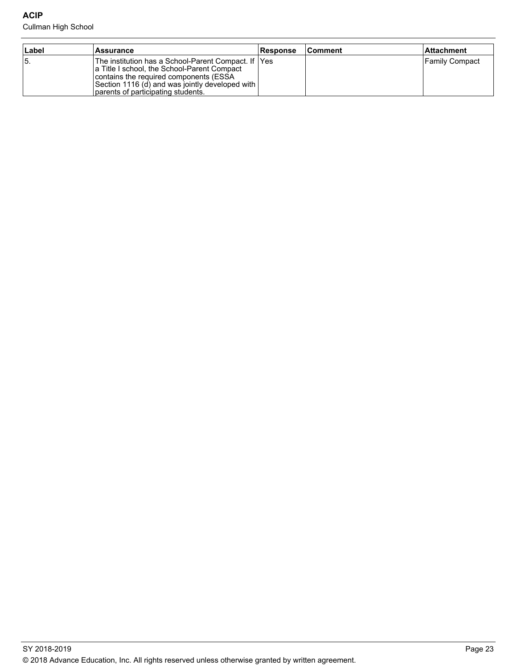#### Cullman High School

| ∣Label | <b>Assurance</b>                                                                                                                                                                                                                       | <b>Response</b> | <b>IComment</b> | l Attachment   |
|--------|----------------------------------------------------------------------------------------------------------------------------------------------------------------------------------------------------------------------------------------|-----------------|-----------------|----------------|
| 15.    | The institution has a School-Parent Compact. If  Yes<br>a Title I school, the School-Parent Compact<br>contains the required components (ESSA<br>Section 1116 (d) and was jointly developed with<br>parents of participating students. |                 |                 | Family Compact |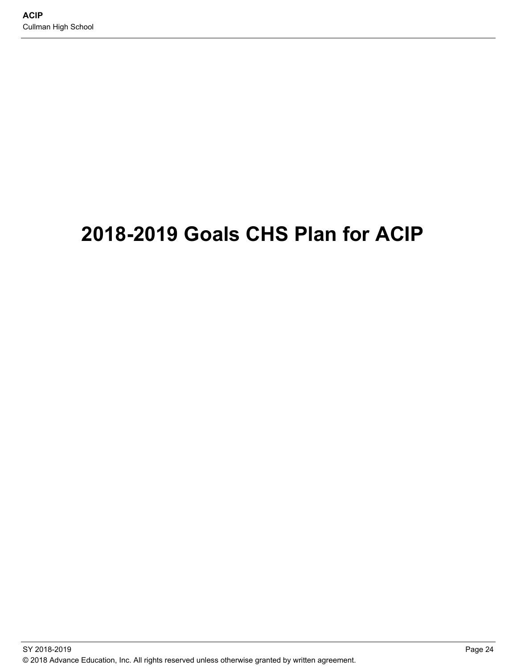# **2018-2019 Goals CHS Plan for ACIP**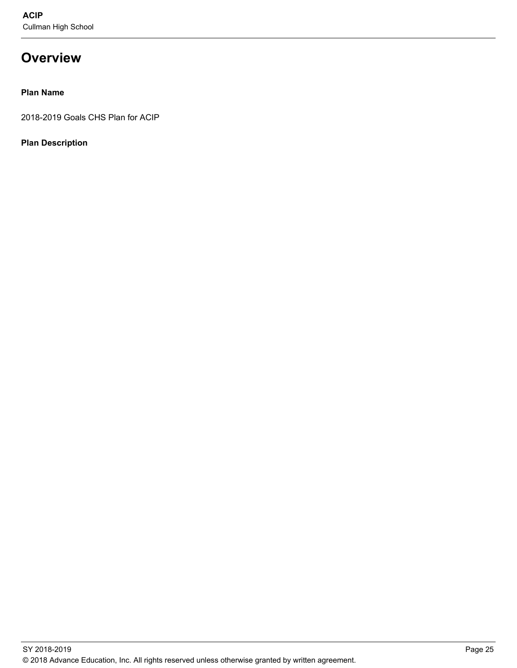## **Overview**

#### **Plan Name**

2018-2019 Goals CHS Plan for ACIP

#### **Plan Description**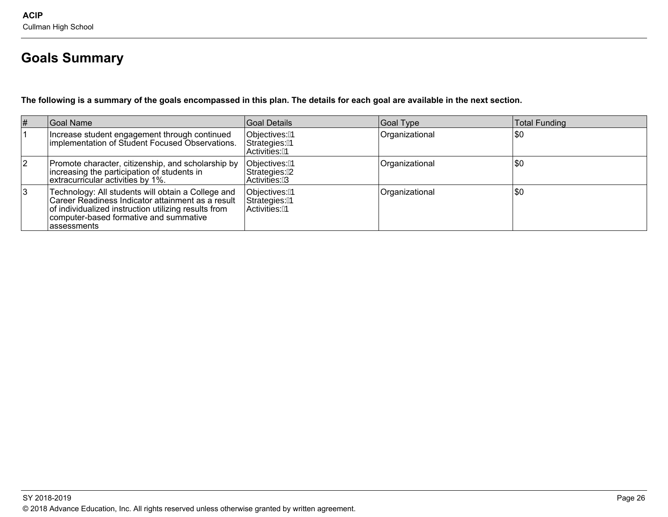## **Goals Summary**

**The following is a summary of the goals encompassed in this plan. The details for each goal are available in the next section.** 

| # | Goal Name                                                                                                                                                                                                                 | Goal Details                                    | Goal Type      | Total Funding |
|---|---------------------------------------------------------------------------------------------------------------------------------------------------------------------------------------------------------------------------|-------------------------------------------------|----------------|---------------|
|   | Increase student engagement through continued<br>Implementation of Student Focused Observations.                                                                                                                          | Objectives: 1<br>Strategies: 1<br>Activities: 1 | Organizational | \$0           |
|   | Promote character, citizenship, and scholarship by<br>increasing the participation of students in<br>extracurricular activities by 1%.                                                                                    | Objectives: 1<br>Strategies: 2<br>Activities: 3 | Organizational | 1\$0          |
|   | Technology: All students will obtain a College and<br>Career Readiness Indicator attainment as a result<br>of individualized instruction utilizing results from<br>computer-based formative and summative<br>lassessments | Objectives: 1<br>Strategies: 1<br>Activities: 1 | Organizational | \$0           |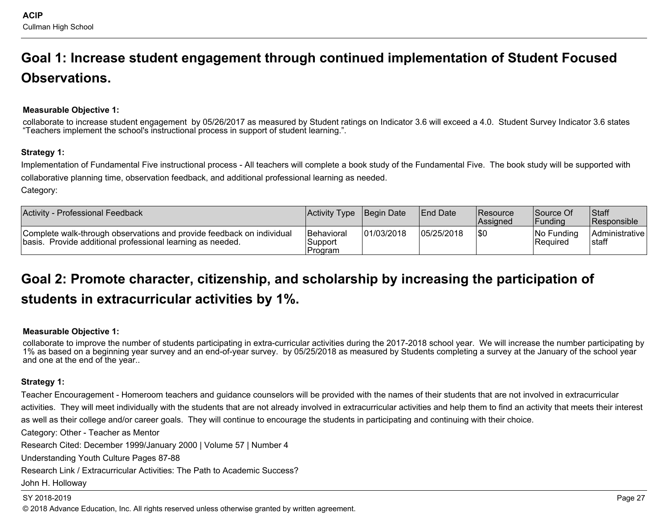# **Goal 1: Increase student engagement through continued implementation of Student Focused Observations.**

### **Measurable Objective 1:**

collaborate to increase student engagement by 05/26/2017 as measured by Student ratings on Indicator 3.6 will exceed a 4.0. Student Survey Indicator 3.6 states "Teachers implement the school's instructional process in support of student learning.".

#### **Strategy 1:**

Implementation of Fundamental Five instructional process - All teachers will complete a book study of the Fundamental Five. The book study will be supported with collaborative planning time, observation feedback, and additional professional learning as needed.

Category:

| <b>Activity - Professional Feedback</b>                                                                                             | <b>Activity Type Begin Date</b>         |            | <b>IEnd Date</b> | <b>Resource</b><br><b>Assigned</b> | Source Of<br><b>IFunding</b>  | Staff<br>Responsible       |
|-------------------------------------------------------------------------------------------------------------------------------------|-----------------------------------------|------------|------------------|------------------------------------|-------------------------------|----------------------------|
| Complete walk-through observations and provide feedback on individual<br>basis. Provide additional professional learning as needed. | <b>Behavioral</b><br>Support<br>Program | 01/03/2018 | 05/25/2018       | <b>SO</b>                          | No Funding<br><b>Required</b> | Administrative  <br>Istaff |

## **Goal 2: Promote character, citizenship, and scholarship by increasing the participation of students in extracurricular activities by 1%.**

#### **Measurable Objective 1:**

collaborate to improve the number of students participating in extra-curricular activities during the 2017-2018 school year. We will increase the number participating by 1% as based on a beginning year survey and an end-of-year survey. by 05/25/2018 as measured by Students completing a survey at the January of the school year and one at the end of the year..

#### **Strategy 1:**

Teacher Encouragement - Homeroom teachers and guidance counselors will be provided with the names of their students that are not involved in extracurricular activities. They will meet individually with the students that are not already involved in extracurricular activities and help them to find an activity that meets their interest

as well as their college and/or career goals. They will continue to encourage the students in participating and continuing with their choice.

Category: Other - Teacher as Mentor

Research Cited: December 1999/January 2000 | Volume 57 | Number 4

Understanding Youth Culture Pages 87-88

Research Link / Extracurricular Activities: The Path to Academic Success?

#### John H. Holloway

#### SY 2018-2019 Page 27

© 2018 Advance Education, Inc. All rights reserved unless otherwise granted by written agreement.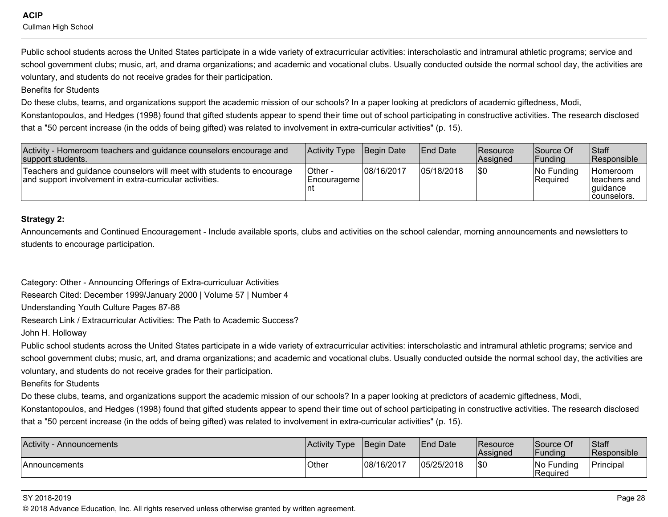**ACIP** Cullman High School

Public school students across the United States participate in a wide variety of extracurricular activities: interscholastic and intramural athletic programs; service and school government clubs; music, art, and drama organizations; and academic and vocational clubs. Usually conducted outside the normal school day, the activities are voluntary, and students do not receive grades for their participation.

Benefits for Students

Do these clubs, teams, and organizations support the academic mission of our schools? In a paper looking at predictors of academic giftedness, Modi,

Konstantopoulos, and Hedges (1998) found that gifted students appear to spend their time out of school participating in constructive activities. The research disclosed that a "50 percent increase (in the odds of being gifted) was related to involvement in extra-curricular activities" (p. 15).

| Activity - Homeroom teachers and guidance counselors encourage and<br>support students.                                          | Activity Type Begin Date |            | <b>End Date</b> | <b>Resource</b><br><b>Assigned</b> | <b>Source Of</b><br><b>Funding</b> | <b>Staff</b><br>Responsible                                          |
|----------------------------------------------------------------------------------------------------------------------------------|--------------------------|------------|-----------------|------------------------------------|------------------------------------|----------------------------------------------------------------------|
| Teachers and guidance counselors will meet with students to encourage<br>and support involvement in extra-curricular activities. | Other -<br>  Encourageme | 08/16/2017 | 05/18/2018      | 1\$0                               | INo Funding<br>Required            | <b>Homeroom</b><br>Iteachers and<br><i>l</i> quidance<br>counselors. |

#### **Strategy 2:**

Announcements and Continued Encouragement - Include available sports, clubs and activities on the school calendar, morning announcements and newsletters to students to encourage participation.

Category: Other - Announcing Offerings of Extra-curriculuar Activities

Research Cited: December 1999/January 2000 | Volume 57 | Number 4

Understanding Youth Culture Pages 87-88

Research Link / Extracurricular Activities: The Path to Academic Success?

#### John H. Holloway

Public school students across the United States participate in a wide variety of extracurricular activities: interscholastic and intramural athletic programs; service and school government clubs; music, art, and drama organizations; and academic and vocational clubs. Usually conducted outside the normal school day, the activities are voluntary, and students do not receive grades for their participation.

Benefits for Students

Do these clubs, teams, and organizations support the academic mission of our schools? In a paper looking at predictors of academic giftedness, Modi,

Konstantopoulos, and Hedges (1998) found that gifted students appear to spend their time out of school participating in constructive activities. The research disclosed that a "50 percent increase (in the odds of being gifted) was related to involvement in extra-curricular activities" (p. 15).

| <b>Activity</b><br>- Announcements | Activity Type | Begin Date | <b>End Date</b> | <b>IResource</b><br><b>Assigned</b> | Source Of<br>Funding   | Staff<br>Responsible |
|------------------------------------|---------------|------------|-----------------|-------------------------------------|------------------------|----------------------|
| <b>Announcements</b>               | Other         | 08/16/2017 | 05/25/2018      | <b>SC</b>                           | No Funding<br>Required | Principal            |

#### SY 2018-2019 Page 28

© 2018 Advance Education, Inc. All rights reserved unless otherwise granted by written agreement.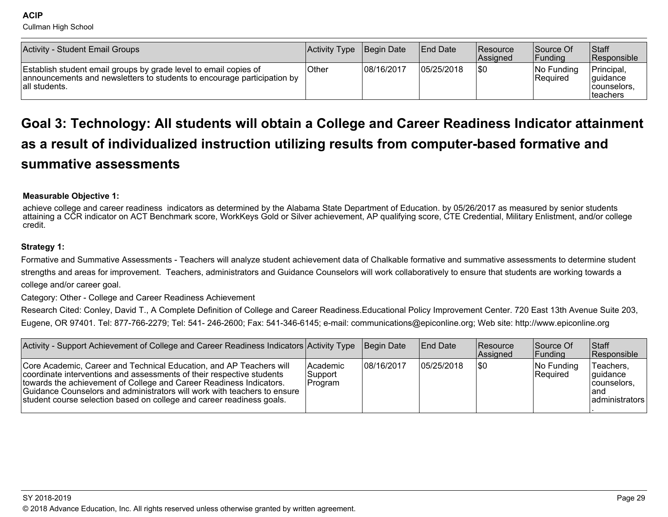**ACIP** 

Cullman High School

| Activity - Student Email Groups                                                                                                                              | Activity Type | Begin Date | <b>End Date</b> | <b>IResource</b><br>Assigned | Source Of<br>Funding           | Staff<br>Responsible                                       |
|--------------------------------------------------------------------------------------------------------------------------------------------------------------|---------------|------------|-----------------|------------------------------|--------------------------------|------------------------------------------------------------|
| Establish student email groups by grade level to email copies of<br>announcements and newsletters to students to encourage participation by<br>all students. | <b>Other</b>  | 08/16/2017 | 105/25/2018     | <b>SO</b>                    | INo Funding<br><b>Required</b> | Principal,<br>lquidance<br>counselors.<br><b>Iteachers</b> |

## **Goal 3: Technology: All students will obtain a College and Career Readiness Indicator attainment as a result of individualized instruction utilizing results from computer-based formative and summative assessments**

#### **Measurable Objective 1:**

achieve college and career readiness indicators as determined by the Alabama State Department of Education. by 05/26/2017 as measured by senior students attaining a CCR indicator on ACT Benchmark score, WorkKeys Gold or Silver achievement, AP qualifying score, CTE Credential, Military Enlistment, and/or college credit.

#### **Strategy 1:**

Formative and Summative Assessments - Teachers will analyze student achievement data of Chalkable formative and summative assessments to determine student strengths and areas for improvement. Teachers, administrators and Guidance Counselors will work collaboratively to ensure that students are working towards a college and/or career goal.

Category: Other - College and Career Readiness Achievement

Research Cited: Conley, David T., A Complete Definition of College and Career Readiness.Educational Policy Improvement Center. 720 East 13th Avenue Suite 203, Eugene, OR 97401. Tel: 877-766-2279; Tel: 541- 246-2600; Fax: 541-346-6145; e-mail: communications@epiconline.org; Web site: http://www.epiconline.org

| Activity - Support Achievement of College and Career Readiness Indicators Activity Type                                                                                                                                                                                                                                                                                  |                                       | <b>IBegin Date</b> | <b>End Date</b> | <b>Resource</b><br>Assigned | Source Of<br><b>Funding</b> | <b>Staff</b><br><b>Responsible</b>                                |
|--------------------------------------------------------------------------------------------------------------------------------------------------------------------------------------------------------------------------------------------------------------------------------------------------------------------------------------------------------------------------|---------------------------------------|--------------------|-----------------|-----------------------------|-----------------------------|-------------------------------------------------------------------|
| Core Academic, Career and Technical Education, and AP Teachers will<br>coordinate interventions and assessments of their respective students<br>towards the achievement of College and Career Readiness Indicators.<br>Guidance Counselors and administrators will work with teachers to ensure<br>student course selection based on college and career readiness goals. | <b>Academic</b><br>Support<br>Program | 108/16/2017        | 05/25/2018      | 1\$0                        | No Funding<br>Required      | Teachers.<br> quidance<br>counselors.<br>land<br>  administrators |